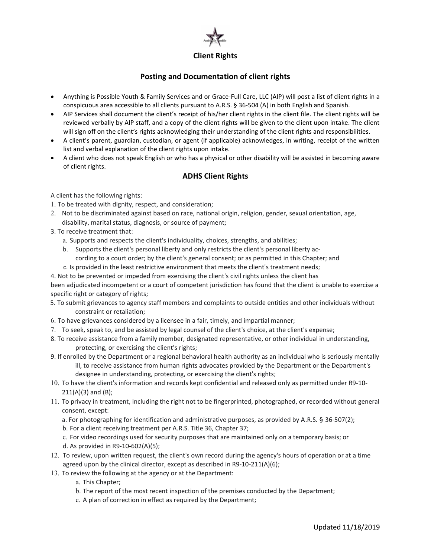

## Posting and Documentation of client rights

- Anything is Possible Youth & Family Services and or Grace-Full Care, LLC (AIP) will post a list of client rights in a conspicuous area accessible to all clients pursuant to A.R.S. § 36-504 (A) in both English and Spanish.
- AIP Services shall document the client's receipt of his/her client rights in the client file. The client rights will be reviewed verbally by AIP staff, and a copy of the client rights will be given to the client upon intake. The client will sign off on the client's rights acknowledging their understanding of the client rights and responsibilities.
- A client's parent, guardian, custodian, or agent (if applicable) acknowledges, in writing, receipt of the written list and verbal explanation of the client rights upon intake.
- A client who does not speak English or who has a physical or other disability will be assisted in becoming aware of client rights.

# ADHS Client Rights

A client has the following rights:

- 1. To be treated with dignity, respect, and consideration;
- 2. Not to be discriminated against based on race, national origin, religion, gender, sexual orientation, age, disability, marital status, diagnosis, or source of payment;
- 3. To receive treatment that:
	- a. Supports and respects the client's individuality, choices, strengths, and abilities;
	- b. Supports the client's personal liberty and only restricts the client's personal liberty according to a court order; by the client's general consent; or as permitted in this Chapter; and
	- c. Is provided in the least restrictive environment that meets the client's treatment needs;
- 4. Not to be prevented or impeded from exercising the client's civil rights unless the client has

been adjudicated incompetent or a court of competent jurisdiction has found that the client is unable to exercise a specific right or category of rights;

- 5. To submit grievances to agency staff members and complaints to outside entities and other individuals without constraint or retaliation;
- 6. To have grievances considered by a licensee in a fair, timely, and impartial manner;
- 7. To seek, speak to, and be assisted by legal counsel of the client's choice, at the client's expense;
- 8. To receive assistance from a family member, designated representative, or other individual in understanding, protecting, or exercising the client's rights;
- 9. If enrolled by the Department or a regional behavioral health authority as an individual who is seriously mentally ill, to receive assistance from human rights advocates provided by the Department or the Department's designee in understanding, protecting, or exercising the client's rights;
- 10. To have the client's information and records kept confidential and released only as permitted under R9-10- 211(A)(3) and (B);
- 11. To privacy in treatment, including the right not to be fingerprinted, photographed, or recorded without general consent, except:
	- a. For photographing for identification and administrative purposes, as provided by A.R.S. § 36-507(2);
	- b. For a client receiving treatment per A.R.S. Title 36, Chapter 37;
	- c. For video recordings used for security purposes that are maintained only on a temporary basis; or d. As provided in R9-10-602(A)(5);
- 12. To review, upon written request, the client's own record during the agency's hours of operation or at a time agreed upon by the clinical director, except as described in R9-10-211(A)(6);
- 13. To review the following at the agency or at the Department:
	- a. This Chapter;
	- b. The report of the most recent inspection of the premises conducted by the Department;
	- c. A plan of correction in effect as required by the Department;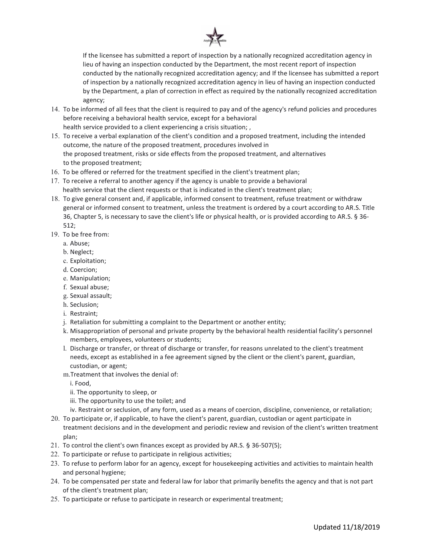

If the licensee has submitted a report of inspection by a nationally recognized accreditation agency in lieu of having an inspection conducted by the Department, the most recent report of inspection conducted by the nationally recognized accreditation agency; and If the licensee has submitted a report of inspection by a nationally recognized accreditation agency in lieu of having an inspection conducted by the Department, a plan of correction in effect as required by the nationally recognized accreditation agency;

- 14. To be informed of all fees that the client is required to pay and of the agency's refund policies and procedures before receiving a behavioral health service, except for a behavioral health service provided to a client experiencing a crisis situation; ,
- 15. To receive a verbal explanation of the client's condition and a proposed treatment, including the intended outcome, the nature of the proposed treatment, procedures involved in the proposed treatment, risks or side effects from the proposed treatment, and alternatives to the proposed treatment;
- 16. To be offered or referred for the treatment specified in the client's treatment plan;
- 17. To receive a referral to another agency if the agency is unable to provide a behavioral health service that the client requests or that is indicated in the client's treatment plan;
- 18. To give general consent and, if applicable, informed consent to treatment, refuse treatment or withdraw general or informed consent to treatment, unless the treatment is ordered by a court according to AR.S. Title 36, Chapter 5, is necessary to save the client's life or physical health, or is provided according to AR.S. § 36- 512;
- 19. To be free from:
	- a. Abuse;
	- b. Neglect;
	- c. Exploitation;
	- d. Coercion;
	- e. Manipulation;
	- f. Sexual abuse;
	- g. Sexual assault;
	- h. Seclusion;
	- i. Restraint;
	- j. Retaliation for submitting a complaint to the Department or another entity;
	- k. Misappropriation of personal and private property by the behavioral health residential facility's personnel members, employees, volunteers or students;
	- l. Discharge or transfer, or threat of discharge or transfer, for reasons unrelated to the client's treatment needs, except as established in a fee agreement signed by the client or the client's parent, guardian, custodian, or agent;
	- m.Treatment that involves the denial of:
		- i. Food,
		- ii. The opportunity to sleep, or
		- iii. The opportunity to use the toilet; and
		- iv. Restraint or seclusion, of any form, used as a means of coercion, discipline, convenience, or retaliation;
- 20. To participate or, if applicable, to have the client's parent, guardian, custodian or agent participate in treatment decisions and in the development and periodic review and revision of the client's written treatment plan;
- 21. To control the client's own finances except as provided by AR.S. § 36-507(5);
- 22. To participate or refuse to participate in religious activities;
- 23. To refuse to perform labor for an agency, except for housekeeping activities and activities to maintain health and personal hygiene;
- 24. To be compensated per state and federal law for labor that primarily benefits the agency and that is not part of the client's treatment plan;
- 25. To participate or refuse to participate in research or experimental treatment;